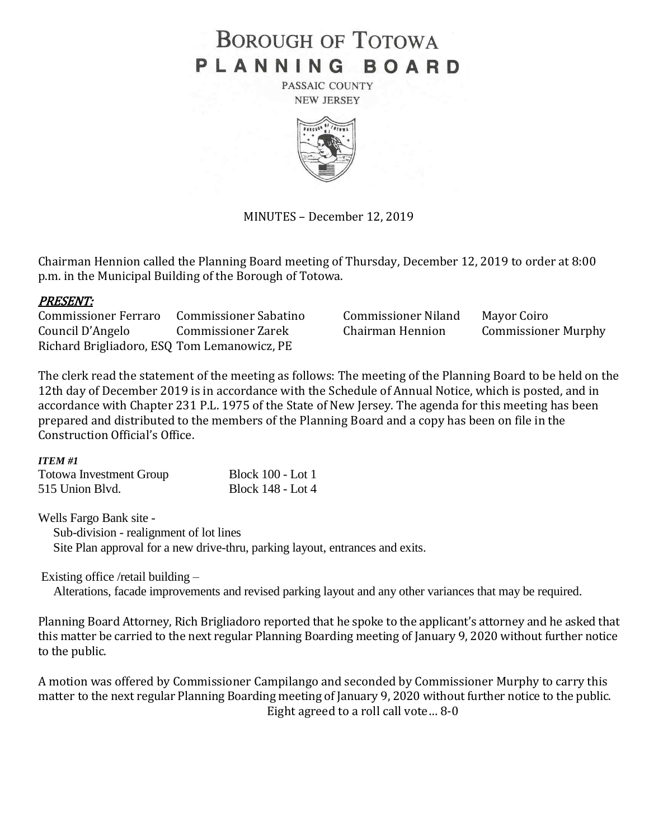# **BOROUGH OF TOTOWA** PLANNING BOARD

PASSAIC COUNTY **NEW JERSEY** 



MINUTES – December 12, 2019

Chairman Hennion called the Planning Board meeting of Thursday, December 12, 2019 to order at 8:00 p.m. in the Municipal Building of the Borough of Totowa.

## PRESENT:

Commissioner Ferraro Commissioner Sabatino Commissioner Niland Mayor Coiro Council D'Angelo Commissioner Zarek Chairman Hennion Commissioner Murphy Richard Brigliadoro, ESQ Tom Lemanowicz, PE

The clerk read the statement of the meeting as follows: The meeting of the Planning Board to be held on the 12th day of December 2019 is in accordance with the Schedule of Annual Notice, which is posted, and in accordance with Chapter 231 P.L. 1975 of the State of New Jersey. The agenda for this meeting has been prepared and distributed to the members of the Planning Board and a copy has been on file in the Construction Official's Office.

#### *ITEM #1*

| <b>Totowa Investment Group</b> | <b>Block 100 - Lot 1</b> |
|--------------------------------|--------------------------|
| 515 Union Blvd.                | <b>Block 148 - Lot 4</b> |

Wells Fargo Bank site -

 Sub-division - realignment of lot lines Site Plan approval for a new drive-thru, parking layout, entrances and exits.

## Existing office /retail building –

Alterations, facade improvements and revised parking layout and any other variances that may be required.

Planning Board Attorney, Rich Brigliadoro reported that he spoke to the applicant's attorney and he asked that this matter be carried to the next regular Planning Boarding meeting of January 9, 2020 without further notice to the public.

A motion was offered by Commissioner Campilango and seconded by Commissioner Murphy to carry this matter to the next regular Planning Boarding meeting of January 9, 2020 without further notice to the public. Eight agreed to a roll call vote… 8-0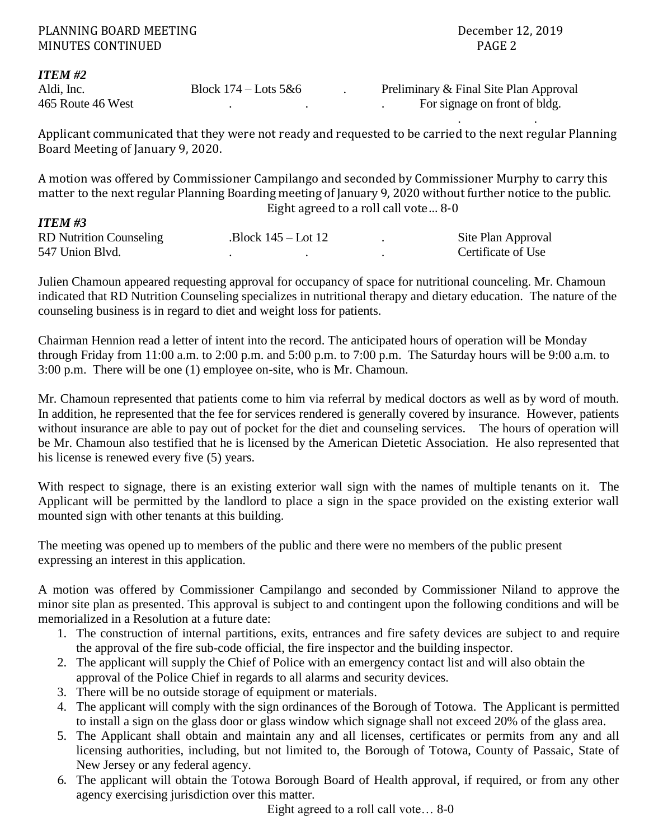. .

#### *ITEM #2*

Aldi, Inc. Block 174 – Lots 5&6 . Preliminary & Final Site Plan Approval 465 Route 46 West . Preliminary & Final Site Plan Approval 465 Route 46 West . . . For signage on front of bldg.

Applicant communicated that they were not ready and requested to be carried to the next regular Planning Board Meeting of January 9, 2020.

A motion was offered by Commissioner Campilango and seconded by Commissioner Murphy to carry this matter to the next regular Planning Boarding meeting of January 9, 2020 without further notice to the public. Eight agreed to a roll call vote… 8-0

| <b>ITEM #3</b>                 |                      |                    |
|--------------------------------|----------------------|--------------------|
| <b>RD</b> Nutrition Counseling | $Block 145 - Lot 12$ | Site Plan Approval |
| 547 Union Blvd.                |                      | Certificate of Use |

Julien Chamoun appeared requesting approval for occupancy of space for nutritional counceling. Mr. Chamoun indicated that RD Nutrition Counseling specializes in nutritional therapy and dietary education. The nature of the counseling business is in regard to diet and weight loss for patients.

Chairman Hennion read a letter of intent into the record. The anticipated hours of operation will be Monday through Friday from 11:00 a.m. to 2:00 p.m. and 5:00 p.m. to 7:00 p.m. The Saturday hours will be 9:00 a.m. to 3:00 p.m. There will be one (1) employee on-site, who is Mr. Chamoun.

Mr. Chamoun represented that patients come to him via referral by medical doctors as well as by word of mouth. In addition, he represented that the fee for services rendered is generally covered by insurance. However, patients without insurance are able to pay out of pocket for the diet and counseling services. The hours of operation will be Mr. Chamoun also testified that he is licensed by the American Dietetic Association. He also represented that his license is renewed every five (5) years.

With respect to signage, there is an existing exterior wall sign with the names of multiple tenants on it. The Applicant will be permitted by the landlord to place a sign in the space provided on the existing exterior wall mounted sign with other tenants at this building.

The meeting was opened up to members of the public and there were no members of the public present expressing an interest in this application.

A motion was offered by Commissioner Campilango and seconded by Commissioner Niland to approve the minor site plan as presented. This approval is subject to and contingent upon the following conditions and will be memorialized in a Resolution at a future date:

- 1. The construction of internal partitions, exits, entrances and fire safety devices are subject to and require the approval of the fire sub-code official, the fire inspector and the building inspector.
- 2. The applicant will supply the Chief of Police with an emergency contact list and will also obtain the approval of the Police Chief in regards to all alarms and security devices.
- 3. There will be no outside storage of equipment or materials.
- 4. The applicant will comply with the sign ordinances of the Borough of Totowa. The Applicant is permitted to install a sign on the glass door or glass window which signage shall not exceed 20% of the glass area.
- 5. The Applicant shall obtain and maintain any and all licenses, certificates or permits from any and all licensing authorities, including, but not limited to, the Borough of Totowa, County of Passaic, State of New Jersey or any federal agency.
- 6. The applicant will obtain the Totowa Borough Board of Health approval, if required, or from any other agency exercising jurisdiction over this matter.

Eight agreed to a roll call vote… 8-0